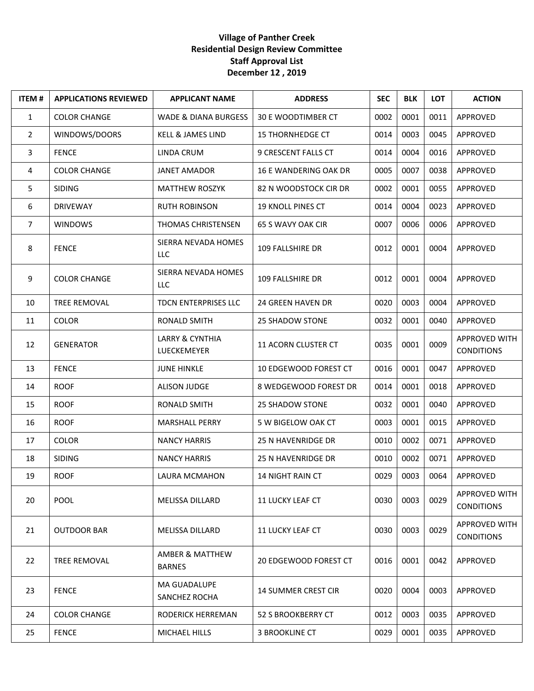## **Village of Panther Creek Residential Design Review Committee Staff Approval List December 12 , 2019**

| <b>ITEM#</b>   | <b>APPLICATIONS REVIEWED</b> | <b>APPLICANT NAME</b>                     | <b>ADDRESS</b>             | <b>SEC</b> | <b>BLK</b> | <b>LOT</b> | <b>ACTION</b>                      |
|----------------|------------------------------|-------------------------------------------|----------------------------|------------|------------|------------|------------------------------------|
| $\mathbf{1}$   | <b>COLOR CHANGE</b>          | <b>WADE &amp; DIANA BURGESS</b>           | 30 E WOODTIMBER CT         | 0002       | 0001       | 0011       | APPROVED                           |
| $\overline{2}$ | WINDOWS/DOORS                | <b>KELL &amp; JAMES LIND</b>              | <b>15 THORNHEDGE CT</b>    | 0014       | 0003       | 0045       | APPROVED                           |
| 3              | <b>FENCE</b>                 | LINDA CRUM                                | 9 CRESCENT FALLS CT        | 0014       | 0004       | 0016       | APPROVED                           |
| 4              | <b>COLOR CHANGE</b>          | <b>JANET AMADOR</b>                       | 16 E WANDERING OAK DR      | 0005       | 0007       | 0038       | APPROVED                           |
| 5              | <b>SIDING</b>                | <b>MATTHEW ROSZYK</b>                     | 82 N WOODSTOCK CIR DR      | 0002       | 0001       | 0055       | APPROVED                           |
| 6              | <b>DRIVEWAY</b>              | <b>RUTH ROBINSON</b>                      | <b>19 KNOLL PINES CT</b>   | 0014       | 0004       | 0023       | APPROVED                           |
| $\overline{7}$ | <b>WINDOWS</b>               | THOMAS CHRISTENSEN                        | 65 S WAVY OAK CIR          | 0007       | 0006       | 0006       | APPROVED                           |
| 8              | <b>FENCE</b>                 | SIERRA NEVADA HOMES<br><b>LLC</b>         | 109 FALLSHIRE DR           | 0012       | 0001       | 0004       | APPROVED                           |
| 9              | <b>COLOR CHANGE</b>          | SIERRA NEVADA HOMES<br><b>LLC</b>         | 109 FALLSHIRE DR           | 0012       | 0001       | 0004       | APPROVED                           |
| 10             | <b>TREE REMOVAL</b>          | TDCN ENTERPRISES LLC                      | <b>24 GREEN HAVEN DR</b>   | 0020       | 0003       | 0004       | APPROVED                           |
| 11             | <b>COLOR</b>                 | RONALD SMITH                              | <b>25 SHADOW STONE</b>     | 0032       | 0001       | 0040       | APPROVED                           |
| 12             | <b>GENERATOR</b>             | <b>LARRY &amp; CYNTHIA</b><br>LUECKEMEYER | 11 ACORN CLUSTER CT        | 0035       | 0001       | 0009       | APPROVED WITH<br><b>CONDITIONS</b> |
| 13             | <b>FENCE</b>                 | <b>JUNE HINKLE</b>                        | 10 EDGEWOOD FOREST CT      | 0016       | 0001       | 0047       | APPROVED                           |
| 14             | <b>ROOF</b>                  | <b>ALISON JUDGE</b>                       | 8 WEDGEWOOD FOREST DR      | 0014       | 0001       | 0018       | APPROVED                           |
| 15             | <b>ROOF</b>                  | RONALD SMITH                              | <b>25 SHADOW STONE</b>     | 0032       | 0001       | 0040       | APPROVED                           |
| 16             | <b>ROOF</b>                  | <b>MARSHALL PERRY</b>                     | 5 W BIGELOW OAK CT         | 0003       | 0001       | 0015       | APPROVED                           |
| 17             | <b>COLOR</b>                 | <b>NANCY HARRIS</b>                       | <b>25 N HAVENRIDGE DR</b>  | 0010       | 0002       | 0071       | APPROVED                           |
| 18             | <b>SIDING</b>                | <b>NANCY HARRIS</b>                       | 25 N HAVENRIDGE DR         | 0010       | 0002       | 0071       | APPROVED                           |
| 19             | <b>ROOF</b>                  | LAURA MCMAHON                             | <b>14 NIGHT RAIN CT</b>    | 0029       | 0003       | 0064       | APPROVED                           |
| 20             | POOL                         | MELISSA DILLARD                           | <b>11 LUCKY LEAF CT</b>    | 0030       | 0003       | 0029       | APPROVED WITH<br><b>CONDITIONS</b> |
| 21             | <b>OUTDOOR BAR</b>           | MELISSA DILLARD                           | <b>11 LUCKY LEAF CT</b>    | 0030       | 0003       | 0029       | APPROVED WITH<br><b>CONDITIONS</b> |
| 22             | <b>TREE REMOVAL</b>          | AMBER & MATTHEW<br><b>BARNES</b>          | 20 EDGEWOOD FOREST CT      | 0016       | 0001       | 0042       | APPROVED                           |
| 23             | <b>FENCE</b>                 | <b>MA GUADALUPE</b><br>SANCHEZ ROCHA      | <b>14 SUMMER CREST CIR</b> | 0020       | 0004       | 0003       | APPROVED                           |
| 24             | <b>COLOR CHANGE</b>          | RODERICK HERREMAN                         | 52 S BROOKBERRY CT         | 0012       | 0003       | 0035       | APPROVED                           |
| 25             | <b>FENCE</b>                 | MICHAEL HILLS                             | 3 BROOKLINE CT             | 0029       | 0001       | 0035       | APPROVED                           |